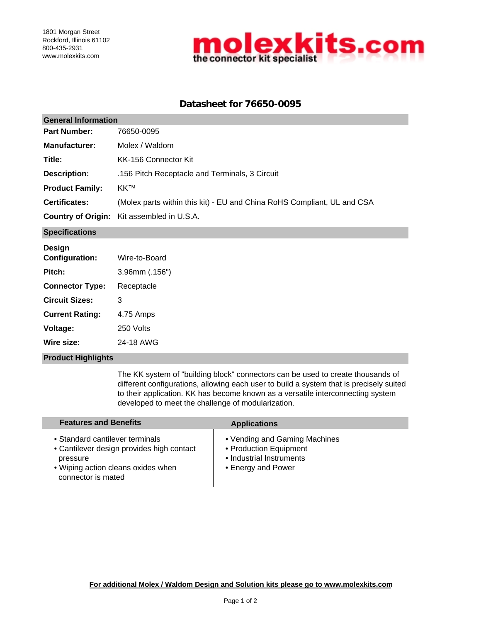

# **Datasheet for 76650-0095**

| <b>General Information</b> |                                                                         |  |  |  |
|----------------------------|-------------------------------------------------------------------------|--|--|--|
| <b>Part Number:</b>        | 76650-0095                                                              |  |  |  |
| <b>Manufacturer:</b>       | Molex / Waldom                                                          |  |  |  |
| Title:                     | KK-156 Connector Kit                                                    |  |  |  |
| <b>Description:</b>        | .156 Pitch Receptacle and Terminals, 3 Circuit                          |  |  |  |
| <b>Product Family:</b>     | <b>KKTM</b>                                                             |  |  |  |
| <b>Certificates:</b>       | (Molex parts within this kit) - EU and China RoHS Compliant, UL and CSA |  |  |  |
|                            | <b>Country of Origin:</b> Kit assembled in U.S.A.                       |  |  |  |
| <b>Specifications</b>      |                                                                         |  |  |  |
| Design<br>Configuration:   | Wiro-to-Roard                                                           |  |  |  |

| <b>Configuration:</b>  | Wire-to-Board  |  |  |
|------------------------|----------------|--|--|
| Pitch:                 | 3.96mm (.156") |  |  |
| <b>Connector Type:</b> | Receptacle     |  |  |
| <b>Circuit Sizes:</b>  | 3              |  |  |
| <b>Current Rating:</b> | 4.75 Amps      |  |  |
| Voltage:               | 250 Volts      |  |  |
| Wire size:             | 24-18 AWG      |  |  |

### **Product Highlights**

The KK system of "building block" connectors can be used to create thousands of different configurations, allowing each user to build a system that is precisely suited to their application. KK has become known as a versatile interconnecting system developed to meet the challenge of modularization.

| <b>Features and Benefits</b>                                                                                                                         | <b>Applications</b>                                                                                       |
|------------------------------------------------------------------------------------------------------------------------------------------------------|-----------------------------------------------------------------------------------------------------------|
| • Standard cantilever terminals<br>• Cantilever design provides high contact<br>pressure<br>• Wiping action cleans oxides when<br>connector is mated | • Vending and Gaming Machines<br>• Production Equipment<br>• Industrial Instruments<br>• Energy and Power |